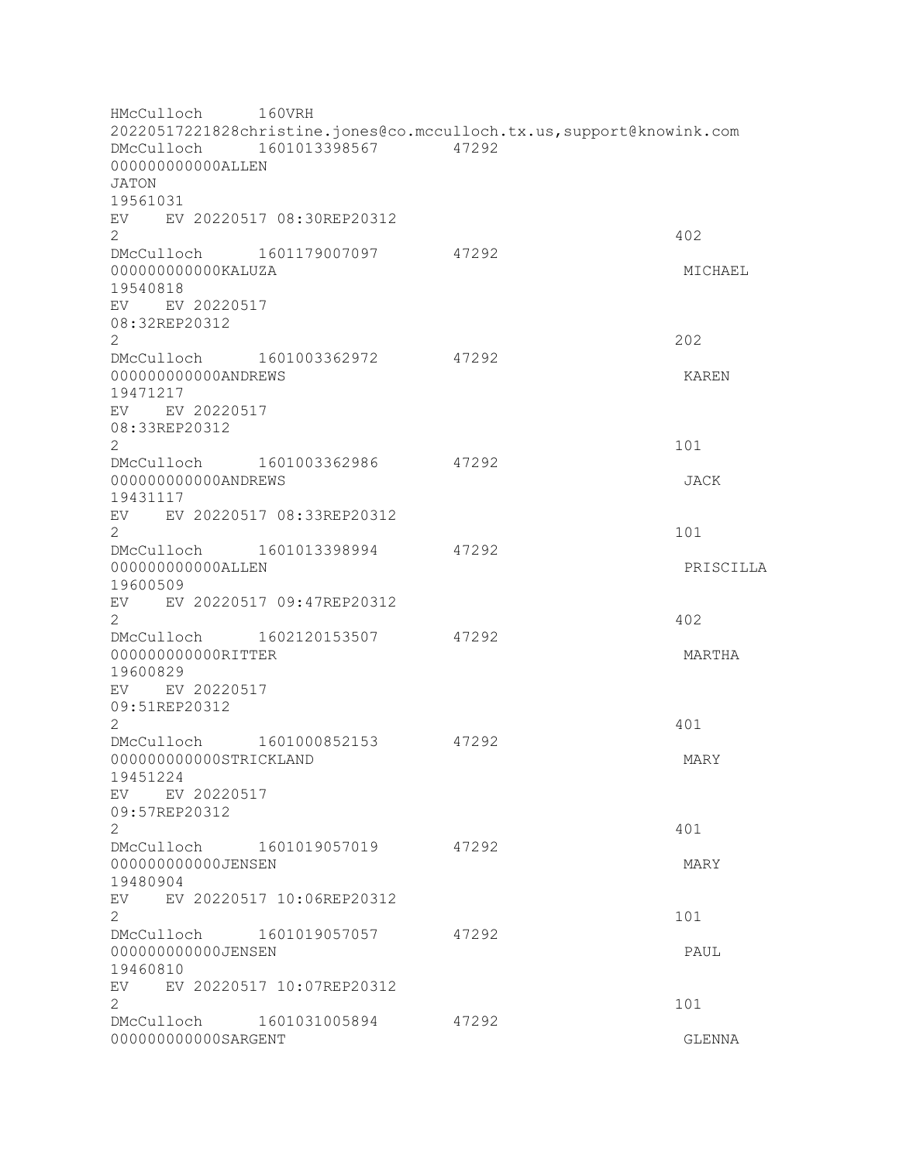HMcCulloch 160VRH 20220517221828christine.jones@co.mcculloch.tx.us,support@knowink.com DMcCulloch 1601013398567 47292 000000000000ALLEN JATON 19561031 EV EV 20220517 08:30REP20312  $2 \times 402$ DMcCulloch 1601179007097 47292 000000000000KALUZA MICHAEL 19540818 EV EV 20220517 08:32REP20312 2<sup>2</sup> DMcCulloch 1601003362972 47292 000000000000ANDREWS KAREN 19471217 EV EV 20220517 08:33REP20312  $2 \t 101$ DMcCulloch 1601003362986 47292 000000000000ANDREWS JACK 19431117 EV EV 20220517 08:33REP20312  $2 \t 101$ DMcCulloch 1601013398994 47292 000000000000ALLEN PRISCILLA 19600509 EV EV 20220517 09:47REP20312  $2 \times 402$ DMcCulloch 1602120153507 47292 000000000000RITTER MARTHA 19600829 EV EV 20220517 09:51REP20312  $2 \times 401$ DMcCulloch 1601000852153 47292 000000000000STRICKLAND MARY 19451224 EV EV 20220517 09:57REP20312 2 a contract a contract of the contract of the contract of the contract of the contract of the contract of the contract of the contract of the contract of the contract of the contract of the contract of the contract of the DMcCulloch 1601019057019 47292 000000000000JENSEN MARY 19480904 EV EV 20220517 10:06REP20312 2 101 DMcCulloch 1601019057057 47292 000000000000JENSEN PAUL 19460810 EV EV 20220517 10:07REP20312  $2 \t 101$ DMcCulloch 1601031005894 47292 0000000000000000SARGENT COMPUTER CLEAR AND CLEAR AND CLEAR AND CLEAR AND CLEAR AND CLEAR AND CLEAR AND CLEAR AND CLEAR AND CLEAR AND CLEAR AND CLEAR AND CLEAR AND CLEAR AND CLEAR AND CLEAR AND CLEAR AND CLEAR AND CLEAR AND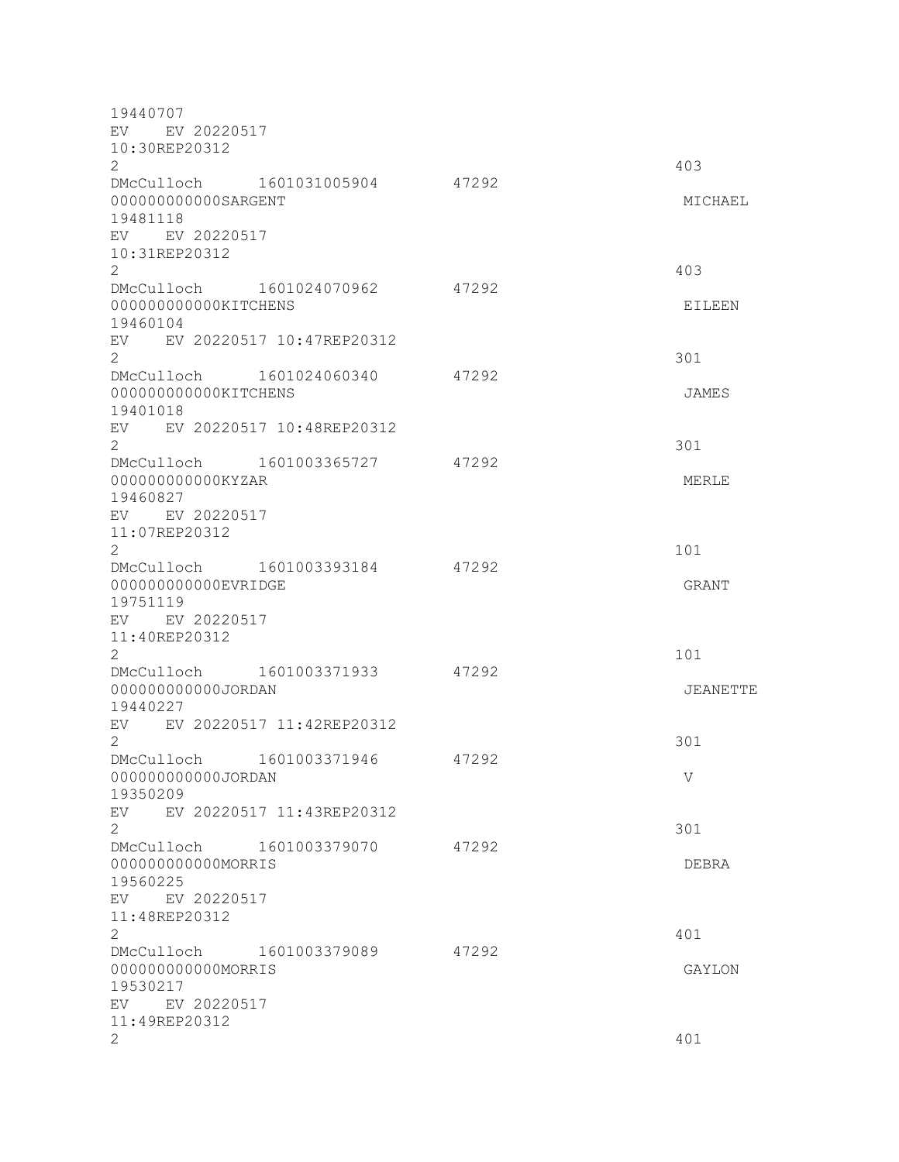19440707 EV EV 20220517 10:30REP20312  $2 \times 403$ DMcCulloch 1601031005904 47292 000000000000SARGENT MICHAEL 19481118 EV EV 20220517 10:31REP20312 2 403 DMcCulloch 1601024070962 47292 000000000000KITCHENS EILEEN 19460104 EV EV 20220517 10:47REP20312  $2 \times 301$ DMcCulloch 1601024060340 47292 000000000000KITCHENS JAMES 19401018 EV EV 20220517 10:48REP20312  $2\overline{301}$ DMcCulloch 1601003365727 47292 000000000000KYZAR MERLE 19460827 EV EV 20220517 11:07REP20312  $2 \t 101$ DMcCulloch 1601003393184 47292 000000000000EVRIDGE GRANT GRANT GRANT 19751119 EV EV 20220517 11:40REP20312 2 101 DMcCulloch 1601003371933 47292 000000000000JORDAN JEANETTE 19440227 EV EV 20220517 11:42REP20312  $2\overline{301}$ DMcCulloch 1601003371946 47292 000000000000JORDAN V 19350209 EV EV 20220517 11:43REP20312  $2\overline{301}$ DMcCulloch 1601003379070 47292 000000000000MORRIS DEBRA 19560225 EV EV 20220517 11:48REP20312  $2 \times 401$ DMcCulloch 1601003379089 47292 000000000000MORRIS GAYLON 19530217 EV EV 20220517 11:49REP20312  $2 \times 401$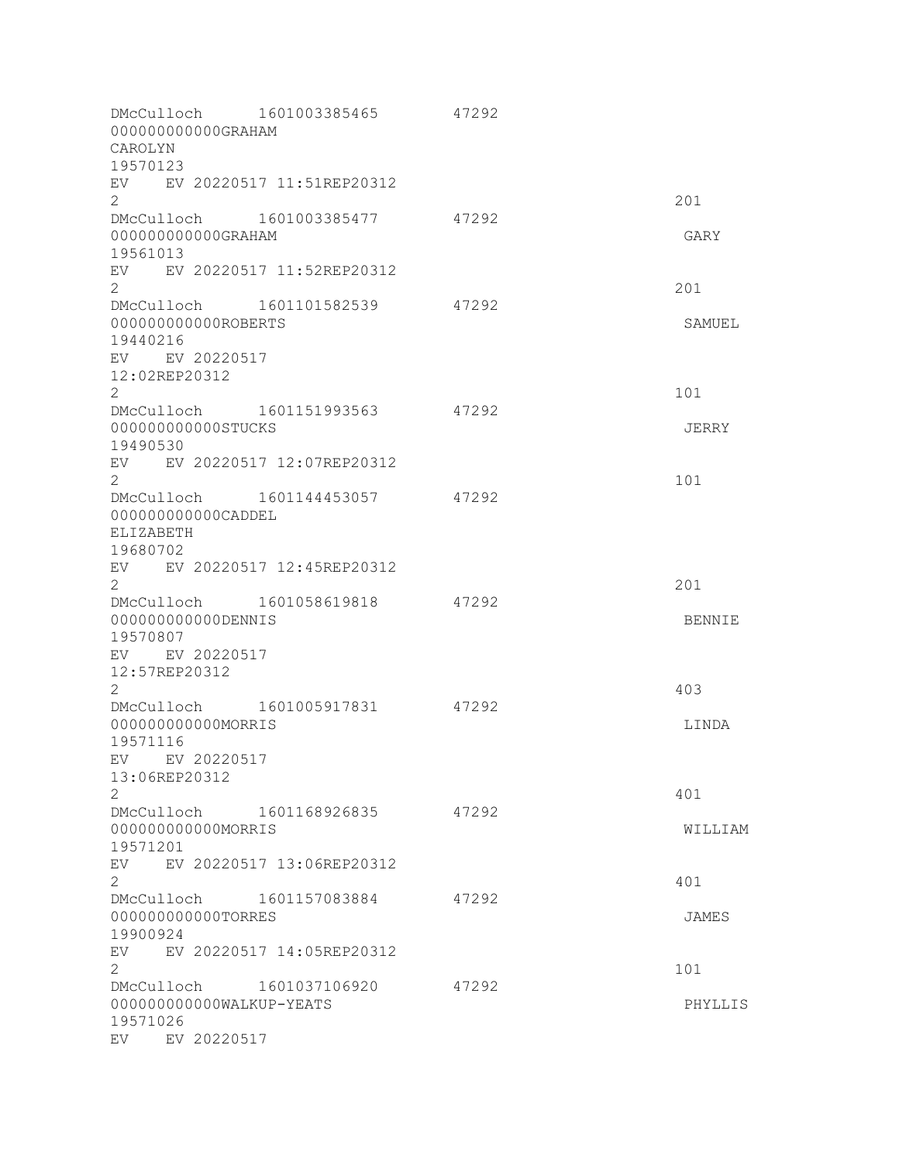| 000000000000GRAHAM<br>CAROLYN          | DMcCulloch 1601003385465       | 47292 |               |
|----------------------------------------|--------------------------------|-------|---------------|
| 19570123                               |                                |       |               |
| $\overline{2}$                         | EV EV 20220517 11:51REP20312   |       | 201           |
|                                        | DMcCulloch 1601003385477       | 47292 |               |
| 000000000000GRAHAM                     |                                |       | GARY          |
| 19561013                               |                                |       |               |
|                                        | EV EV 20220517 11:52REP20312   |       |               |
| $\overline{2}$                         |                                |       | 201           |
|                                        | DMcCulloch 1601101582539       | 47292 |               |
| 000000000000ROBERTS<br>19440216        |                                |       | SAMUEL        |
| EV EV 20220517                         |                                |       |               |
| 12:02REP20312                          |                                |       |               |
| $\overline{2}$                         |                                |       | 101           |
|                                        | DMcCulloch 1601151993563       | 47292 |               |
| 000000000000STUCKS                     |                                |       | JERRY         |
| 19490530                               |                                |       |               |
|                                        | EV EV 20220517 12:07REP20312   |       |               |
| $\overline{2}$                         |                                |       | 101           |
|                                        | DMcCulloch 1601144453057       | 47292 |               |
| 000000000000CADDEL<br><b>ELIZABETH</b> |                                |       |               |
| 19680702                               |                                |       |               |
|                                        | EV EV 20220517 12:45REP20312   |       |               |
| $\overline{2}$                         |                                |       | 201           |
|                                        | DMcCulloch 1601058619818       | 47292 |               |
| 00000000000DENNIS                      |                                |       | <b>BENNIE</b> |
| 19570807                               |                                |       |               |
| EV EV 20220517                         |                                |       |               |
| 12:57REP20312                          |                                |       |               |
| $\mathbf{2}$                           | DMcCulloch 1601005917831       | 47292 | 403           |
| 00000000000MORRIS                      |                                |       | LINDA         |
| 19571116                               |                                |       |               |
| EV EV 20220517                         |                                |       |               |
| 13:06REP20312                          |                                |       |               |
| $\overline{2}$                         |                                |       | 401           |
|                                        | DMcCulloch 1601168926835 47292 |       |               |
| 00000000000MORRIS                      |                                |       | WILLIAM       |
| 19571201                               |                                |       |               |
| $\overline{2}$                         | EV EV 20220517 13:06REP20312   |       | 401           |
|                                        | DMcCulloch 1601157083884       | 47292 |               |
| 000000000000TORRES                     |                                |       | JAMES         |
| 19900924                               |                                |       |               |
|                                        | EV EV 20220517 14:05REP20312   |       |               |
| $\overline{2}$                         |                                |       | 101           |
|                                        | DMcCulloch 1601037106920       | 47292 |               |
| 000000000000WALKUP-YEATS               |                                |       | PHYLLIS       |
| 19571026                               |                                |       |               |
| EV EV 20220517                         |                                |       |               |